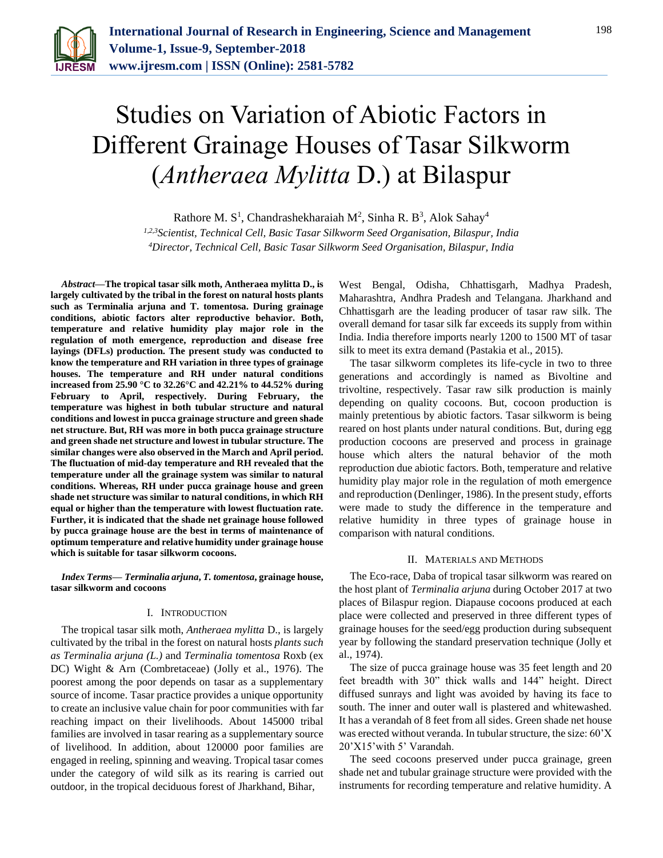

# Studies on Variation of Abiotic Factors in Different Grainage Houses of Tasar Silkworm (*Antheraea Mylitta* D.) at Bilaspur

Rathore M. S<sup>1</sup>, Chandrashekharaiah M<sup>2</sup>, Sinha R. B<sup>3</sup>, Alok Sahay<sup>4</sup>

*1,2,3Scientist, Technical Cell, Basic Tasar Silkworm Seed Organisation, Bilaspur, India 4Director, Technical Cell, Basic Tasar Silkworm Seed Organisation, Bilaspur, India*

*Abstract***—The tropical tasar silk moth, Antheraea mylitta D., is largely cultivated by the tribal in the forest on natural hosts plants such as Terminalia arjuna and T. tomentosa. During grainage conditions, abiotic factors alter reproductive behavior. Both, temperature and relative humidity play major role in the regulation of moth emergence, reproduction and disease free layings (DFLs) production. The present study was conducted to know the temperature and RH variation in three types of grainage houses. The temperature and RH under natural conditions increased from 25.90 °C to 32.26°C and 42.21% to 44.52% during February to April, respectively. During February, the temperature was highest in both tubular structure and natural conditions and lowest in pucca grainage structure and green shade net structure. But, RH was more in both pucca grainage structure and green shade net structure and lowest in tubular structure. The similar changes were also observed in the March and April period. The fluctuation of mid-day temperature and RH revealed that the temperature under all the grainage system was similar to natural conditions. Whereas, RH under pucca grainage house and green shade net structure was similar to natural conditions, in which RH equal or higher than the temperature with lowest fluctuation rate. Further, it is indicated that the shade net grainage house followed by pucca grainage house are the best in terms of maintenance of optimum temperature and relative humidity under grainage house which is suitable for tasar silkworm cocoons.**

*Index Terms***—** *Terminalia arjuna***,** *T. tomentosa***, grainage house, tasar silkworm and cocoons**

# I. INTRODUCTION

The tropical tasar silk moth, *Antheraea mylitta* D., is largely cultivated by the tribal in the forest on natural hosts *plants such as Terminalia arjuna (L.)* and *Terminalia tomentosa* Roxb (ex DC) Wight & Arn (Combretaceae) (Jolly et al., 1976). The poorest among the poor depends on tasar as a supplementary source of income. Tasar practice provides a unique opportunity to create an inclusive value chain for poor communities with far reaching impact on their livelihoods. About 145000 tribal families are involved in tasar rearing as a supplementary source of livelihood. In addition, about 120000 poor families are engaged in reeling, spinning and weaving. Tropical tasar comes under the category of wild silk as its rearing is carried out outdoor, in the tropical deciduous forest of Jharkhand, Bihar,

West Bengal, Odisha, Chhattisgarh, Madhya Pradesh, Maharashtra, Andhra Pradesh and Telangana. Jharkhand and Chhattisgarh are the leading producer of tasar raw silk. The overall demand for tasar silk far exceeds its supply from within India. India therefore imports nearly 1200 to 1500 MT of tasar silk to meet its extra demand (Pastakia et al., 2015).

The tasar silkworm completes its life-cycle in two to three generations and accordingly is named as Bivoltine and trivoltine, respectively. Tasar raw silk production is mainly depending on quality cocoons. But, cocoon production is mainly pretentious by abiotic factors. Tasar silkworm is being reared on host plants under natural conditions. But, during egg production cocoons are preserved and process in grainage house which alters the natural behavior of the moth reproduction due abiotic factors. Both, temperature and relative humidity play major role in the regulation of moth emergence and reproduction (Denlinger, 1986). In the present study, efforts were made to study the difference in the temperature and relative humidity in three types of grainage house in comparison with natural conditions.

## II. MATERIALS AND METHODS

The Eco-race, Daba of tropical tasar silkworm was reared on the host plant of *Terminalia arjuna* during October 2017 at two places of Bilaspur region. Diapause cocoons produced at each place were collected and preserved in three different types of grainage houses for the seed/egg production during subsequent year by following the standard preservation technique (Jolly et al., 1974).

The size of pucca grainage house was 35 feet length and 20 feet breadth with 30" thick walls and 144" height. Direct diffused sunrays and light was avoided by having its face to south. The inner and outer wall is plastered and whitewashed. It has a verandah of 8 feet from all sides. Green shade net house was erected without veranda. In tubular structure, the size: 60'X 20'X15'with 5' Varandah.

The seed cocoons preserved under pucca grainage, green shade net and tubular grainage structure were provided with the instruments for recording temperature and relative humidity. A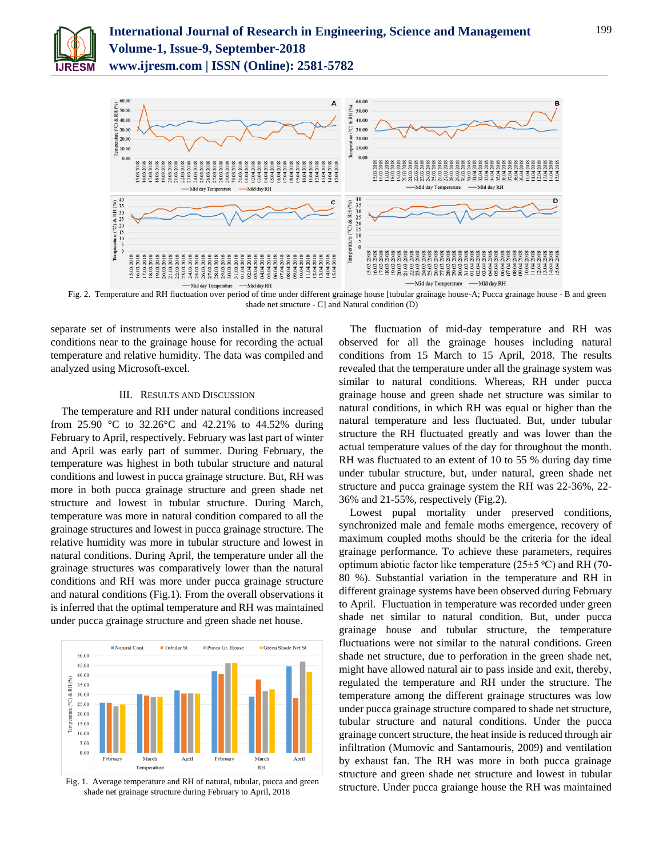



Fig. 2. Temperature and RH fluctuation over period of time under different grainage house [tubular grainage house-A; Pucca grainage house - B and green shade net structure - C] and Natural condition (D)

separate set of instruments were also installed in the natural conditions near to the grainage house for recording the actual temperature and relative humidity. The data was compiled and analyzed using Microsoft-excel.

## III. RESULTS AND DISCUSSION

The temperature and RH under natural conditions increased from 25.90 °C to 32.26°C and 42.21% to 44.52% during February to April, respectively. February was last part of winter and April was early part of summer. During February, the temperature was highest in both tubular structure and natural conditions and lowest in pucca grainage structure. But, RH was more in both pucca grainage structure and green shade net structure and lowest in tubular structure. During March, temperature was more in natural condition compared to all the grainage structures and lowest in pucca grainage structure. The relative humidity was more in tubular structure and lowest in natural conditions. During April, the temperature under all the grainage structures was comparatively lower than the natural conditions and RH was more under pucca grainage structure and natural conditions (Fig.1). From the overall observations it is inferred that the optimal temperature and RH was maintained under pucca grainage structure and green shade net house.



Fig. 1. Average temperature and RH of natural, tubular, pucca and green shade net grainage structure during February to April, 2018

The fluctuation of mid-day temperature and RH was observed for all the grainage houses including natural conditions from 15 March to 15 April, 2018. The results revealed that the temperature under all the grainage system was similar to natural conditions. Whereas, RH under pucca grainage house and green shade net structure was similar to natural conditions, in which RH was equal or higher than the natural temperature and less fluctuated. But, under tubular structure the RH fluctuated greatly and was lower than the actual temperature values of the day for throughout the month. RH was fluctuated to an extent of 10 to 55 % during day time under tubular structure, but, under natural, green shade net structure and pucca grainage system the RH was 22-36%, 22- 36% and 21-55%, respectively (Fig.2).

Lowest pupal mortality under preserved conditions, synchronized male and female moths emergence, recovery of maximum coupled moths should be the criteria for the ideal grainage performance. To achieve these parameters, requires optimum abiotic factor like temperature ( $25\pm5$  °C) and RH (70-80 %). Substantial variation in the temperature and RH in different grainage systems have been observed during February to April. Fluctuation in temperature was recorded under green shade net similar to natural condition. But, under pucca grainage house and tubular structure, the temperature fluctuations were not similar to the natural conditions. Green shade net structure, due to perforation in the green shade net, might have allowed natural air to pass inside and exit, thereby, regulated the temperature and RH under the structure. The temperature among the different grainage structures was low under pucca grainage structure compared to shade net structure, tubular structure and natural conditions. Under the pucca grainage concert structure, the heat inside is reduced through air infiltration (Mumovic and Santamouris, 2009) and ventilation by exhaust fan. The RH was more in both pucca grainage structure and green shade net structure and lowest in tubular structure. Under pucca graiange house the RH was maintained